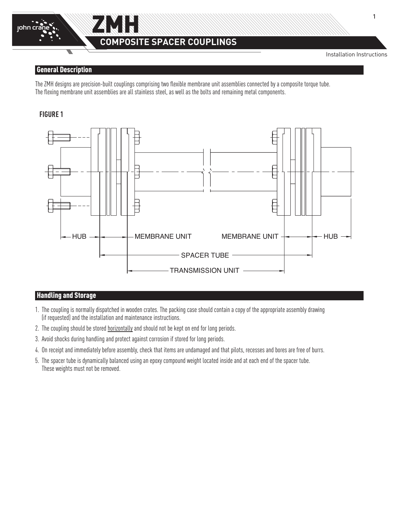

# **COMPOSITE SPACER COUPLINGS**

Installation Instructions

#### General Description

The ZMH designs are precision-built couplings comprising two flexible membrane unit assemblies connected by a composite torque tube. The flexing membrane unit assemblies are all stainless steel, as well as the bolts and remaining metal components.

## **FIGURE 1**



# Handling and Storage

- 1. The coupling is normally dispatched in wooden crates. The packing case should contain a copy of the appropriate assembly drawing (if requested) and the installation and maintenance instructions.
- 2. The coupling should be stored horizontally and should not be kept on end for long periods.
- 3. Avoid shocks during handling and protect against corrosion if stored for long periods.
- 4. On receipt and immediately before assembly, check that items are undamaged and that pilots, recesses and bores are free of burrs.
- 5. The spacer tube is dynamically balanced using an epoxy compound weight located inside and at each end of the spacer tube. These weights must not be removed.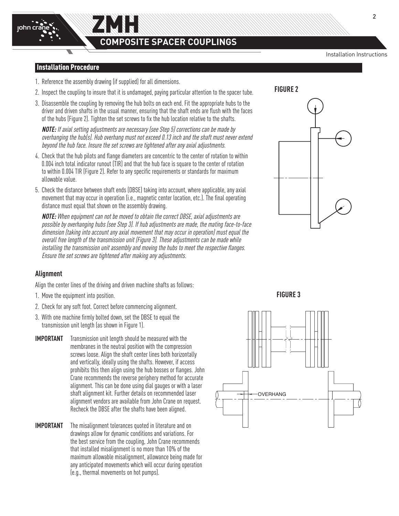## Installation Procedure

1. Reference the assembly drawing (if supplied) for all dimensions.

ZMH

- 2. Inspect the coupling to insure that it is undamaged, paying particular attention to the spacer tube.
- 3. Disassemble the coupling by removing the hub bolts on each end. Fit the appropriate hubs to the driver and driven shafts in the usual manner, ensuring that the shaft ends are flush with the faces of the hubs (Figure 2). Tighten the set screws to fix the hub location relative to the shafts.

**NOTE:** If axial setting adjustments are necessary (see Step 5) corrections can be made by overhanging the hub(s). Hub overhang must not exceed 0.13 inch and the shaft must never extend beyond the hub face. Insure the set screws are tightened after any axial adjustments.

- 4. Check that the hub pilots and flange diameters are concentric to the center of rotation to within 0.004 inch total indicator runout (TIR) and that the hub face is square to the center of rotation to within 0.004 TIR (Figure 2). Refer to any specific requirements or standards for maximum allowable value.
- 5. Check the distance between shaft ends (DBSE) taking into account, where applicable, any axial movement that may occur in operation (i.e., magnetic center location, etc.). The final operating distance must equal that shown on the assembly drawing.

**NOTE:** When equipment can not be moved to obtain the correct DBSE, axial adjustments are possible by overhanging hubs (see Step 3). If hub adjustments are made, the mating face-to-face dimension (taking into account any axial movement that may occur in operation) must equal the overall free length of the transmission unit (Figure 3). These adjustments can be made while installing the transmission unit assembly and moving the hubs to meet the respective flanges. Ensure the set screws are tightened after making any adjustments.



Align the center lines of the driving and driven machine shafts as follows:

- 1. Move the equipment into position.
- 2. Check for any soft foot. Correct before commencing alignment.
- 3. With one machine firmly bolted down, set the DBSE to equal the transmission unit length (as shown in Figure 1).
- **IMPORTANT** Transmission unit length should be measured with the membranes in the neutral position with the compression screws loose. Align the shaft center lines both horizontally and vertically, ideally using the shafts. However, if access prohibits this then align using the hub bosses or flanges. John Crane recommends the reverse periphery method for accurate alignment. This can be done using dial gauges or with a laser shaft alignment kit. Further details on recommended laser alignment vendors are available from John Crane on request. Recheck the DBSE after the shafts have been aligned.
- **IMPORTANT** The misalignment tolerances quoted in literature and on drawings allow for dynamic conditions and variations. For the best service from the coupling, John Crane recommends that installed misalignment is no more than 10% of the maximum allowable misalignment, allowance being made for any anticipated movements which will occur during operation (e.g., thermal movements on hot pumps).

**FIGURE 3**







**Figure 1**

Installation Instructions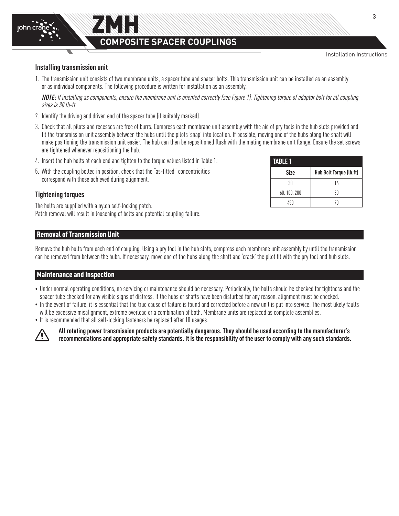

3

#### **Installing transmission unit**

john cra

1. The transmission unit consists of two membrane units, a spacer tube and spacer bolts. This transmission unit can be installed as an assembly or as individual components. The following procedure is written for installation as an assembly.

**NOTE:** If installing as components, ensure the membrane unit is oriented correctly (see Figure 1). Tightening torque of adaptor bolt for all coupling sizes is 30 lb-ft.

- 2. Identify the driving and driven end of the spacer tube (if suitably marked).
- 3. Check that all pilots and recesses are free of burrs. Compress each membrane unit assembly with the aid of pry tools in the hub slots provided and fit the transmission unit assembly between the hubs until the pilots 'snap' into location. If possible, moving one of the hubs along the shaft will make positioning the transmission unit easier. The hub can then be repositioned flush with the mating membrane unit flange. Ensure the set screws are tightened whenever repositioning the hub.
- 4. Insert the hub bolts at each end and tighten to the torque values listed in Table 1.
- 5. With the coupling bolted in position, check that the "as-fitted" concentricities correspond with those achieved during alignment.

## **Tightening torques**

The bolts are supplied with a nylon self-locking patch. Patch removal will result in loosening of bolts and potential coupling failure.

## Removal of Transmission Unit

Remove the hub bolts from each end of coupling. Using a pry tool in the hub slots, compress each membrane unit assembly by until the transmission can be removed from between the hubs. If necessary, move one of the hubs along the shaft and 'crack' the pilot fit with the pry tool and hub slots.

#### Maintenance and Inspection

- Under normal operating conditions, no servicing or maintenance should be necessary. Periodically, the bolts should be checked for tightness and the spacer tube checked for any visible signs of distress. If the hubs or shafts have been disturbed for any reason, alignment must be checked.
- In the event of failure, it is essential that the true cause of failure is found and corrected before a new unit is put into service. The most likely faults will be excessive misalignment, extreme overload or a combination of both. Membrane units are replaced as complete assemblies.
- It is recommended that all self-locking fasteners be replaced after 10 usages.



**All rotating power transmission products are potentially dangerous. They should be used according to the manufacturer's recommendations and appropriate safety standards. It is the responsibility of the user to comply with any such standards.**

| <b>TABLE 1</b> |                         |  |  |  |
|----------------|-------------------------|--|--|--|
| Size           | Hub Bolt Torque (lb.ft) |  |  |  |
| 30             | 16                      |  |  |  |
| 60, 100, 200   | 30                      |  |  |  |
| 450            | 70                      |  |  |  |